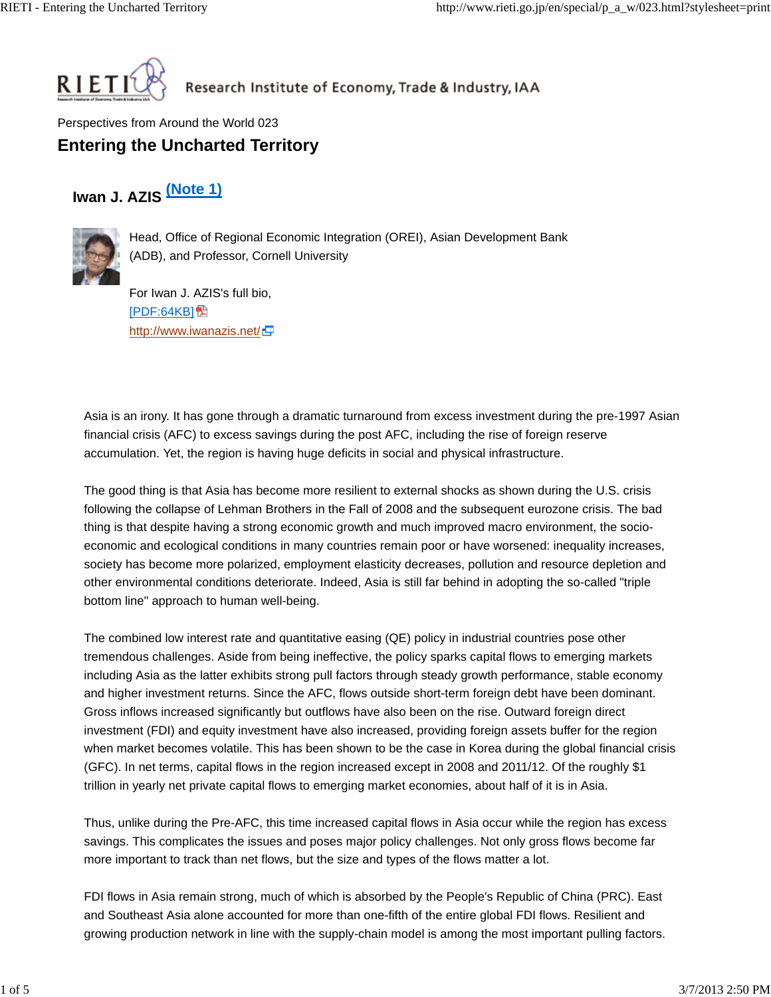

Research Institute of Economy, Trade & Industry, IAA

Perspectives from Around the World 023 **Entering the Uncharted Territory**

## **Iwan J. AZIS (Note 1)**



Head, Office of Regional Economic Integration (OREI), Asian Development Bank (ADB), and Professor, Cornell University

For Iwan J. AZIS's full bio, **[PDF:64KB]** http://www.iwanazis.net/ $\Box$ 

Asia is an irony. It has gone through a dramatic turnaround from excess investment during the pre-1997 Asian financial crisis (AFC) to excess savings during the post AFC, including the rise of foreign reserve accumulation. Yet, the region is having huge deficits in social and physical infrastructure.

The good thing is that Asia has become more resilient to external shocks as shown during the U.S. crisis following the collapse of Lehman Brothers in the Fall of 2008 and the subsequent eurozone crisis. The bad thing is that despite having a strong economic growth and much improved macro environment, the socioeconomic and ecological conditions in many countries remain poor or have worsened: inequality increases, society has become more polarized, employment elasticity decreases, pollution and resource depletion and other environmental conditions deteriorate. Indeed, Asia is still far behind in adopting the so-called "triple bottom line" approach to human well-being.

The combined low interest rate and quantitative easing (QE) policy in industrial countries pose other tremendous challenges. Aside from being ineffective, the policy sparks capital flows to emerging markets including Asia as the latter exhibits strong pull factors through steady growth performance, stable economy and higher investment returns. Since the AFC, flows outside short-term foreign debt have been dominant. Gross inflows increased significantly but outflows have also been on the rise. Outward foreign direct investment (FDI) and equity investment have also increased, providing foreign assets buffer for the region when market becomes volatile. This has been shown to be the case in Korea during the global financial crisis (GFC). In net terms, capital flows in the region increased except in 2008 and 2011/12. Of the roughly \$1 trillion in yearly net private capital flows to emerging market economies, about half of it is in Asia.

Thus, unlike during the Pre-AFC, this time increased capital flows in Asia occur while the region has excess savings. This complicates the issues and poses major policy challenges. Not only gross flows become far more important to track than net flows, but the size and types of the flows matter a lot.

FDI flows in Asia remain strong, much of which is absorbed by the People's Republic of China (PRC). East and Southeast Asia alone accounted for more than one-fifth of the entire global FDI flows. Resilient and growing production network in line with the supply-chain model is among the most important pulling factors.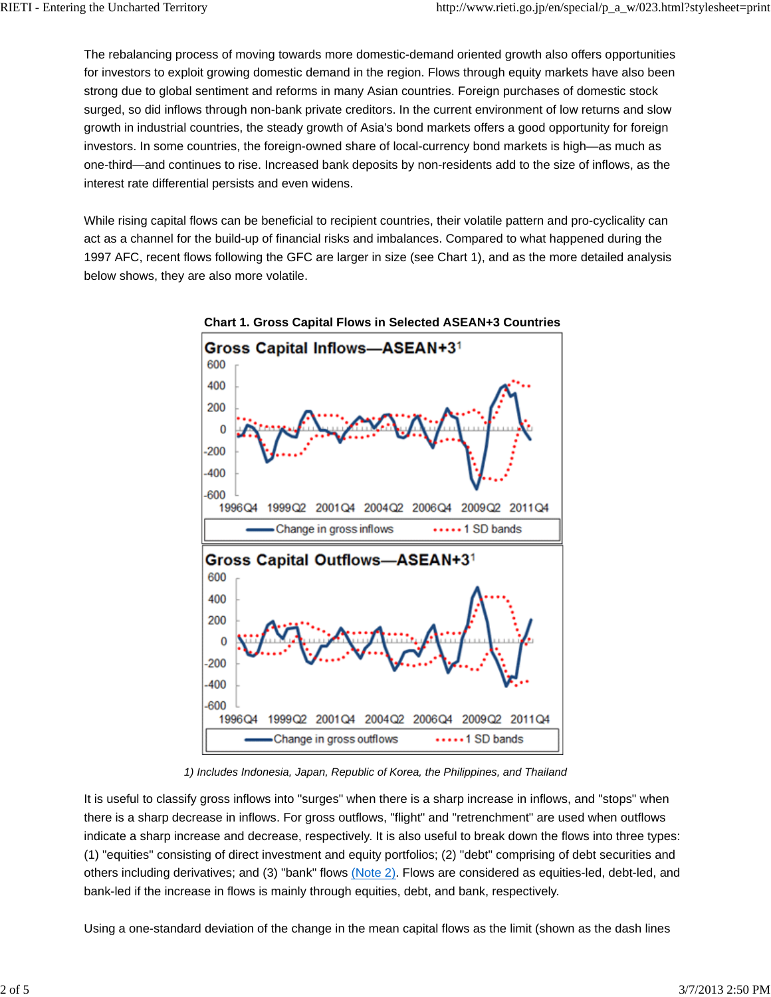The rebalancing process of moving towards more domestic-demand oriented growth also offers opportunities for investors to exploit growing domestic demand in the region. Flows through equity markets have also been strong due to global sentiment and reforms in many Asian countries. Foreign purchases of domestic stock surged, so did inflows through non-bank private creditors. In the current environment of low returns and slow growth in industrial countries, the steady growth of Asia's bond markets offers a good opportunity for foreign investors. In some countries, the foreign-owned share of local-currency bond markets is high—as much as one-third—and continues to rise. Increased bank deposits by non-residents add to the size of inflows, as the interest rate differential persists and even widens.

While rising capital flows can be beneficial to recipient countries, their volatile pattern and pro-cyclicality can act as a channel for the build-up of financial risks and imbalances. Compared to what happened during the 1997 AFC, recent flows following the GFC are larger in size (see Chart 1), and as the more detailed analysis below shows, they are also more volatile.



**Chart 1. Gross Capital Flows in Selected ASEAN+3 Countries**

*1) Includes Indonesia, Japan, Republic of Korea, the Philippines, and Thailand*

It is useful to classify gross inflows into "surges" when there is a sharp increase in inflows, and "stops" when there is a sharp decrease in inflows. For gross outflows, "flight" and "retrenchment" are used when outflows indicate a sharp increase and decrease, respectively. It is also useful to break down the flows into three types: (1) "equities" consisting of direct investment and equity portfolios; (2) "debt" comprising of debt securities and others including derivatives; and (3) "bank" flows (Note 2). Flows are considered as equities-led, debt-led, and bank-led if the increase in flows is mainly through equities, debt, and bank, respectively.

Using a one-standard deviation of the change in the mean capital flows as the limit (shown as the dash lines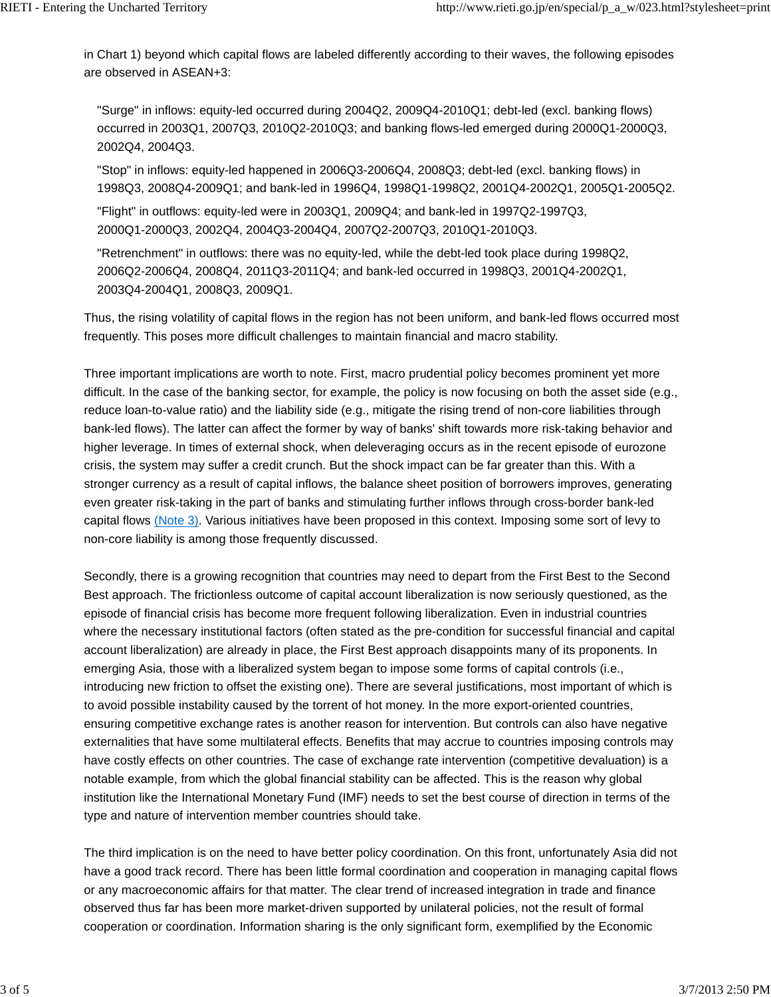in Chart 1) beyond which capital flows are labeled differently according to their waves, the following episodes are observed in ASEAN+3:

"Surge" in inflows: equity-led occurred during 2004Q2, 2009Q4-2010Q1; debt-led (excl. banking flows) occurred in 2003Q1, 2007Q3, 2010Q2-2010Q3; and banking flows-led emerged during 2000Q1-2000Q3, 2002Q4, 2004Q3.

"Stop" in inflows: equity-led happened in 2006Q3-2006Q4, 2008Q3; debt-led (excl. banking flows) in 1998Q3, 2008Q4-2009Q1; and bank-led in 1996Q4, 1998Q1-1998Q2, 2001Q4-2002Q1, 2005Q1-2005Q2.

"Flight" in outflows: equity-led were in 2003Q1, 2009Q4; and bank-led in 1997Q2-1997Q3, 2000Q1-2000Q3, 2002Q4, 2004Q3-2004Q4, 2007Q2-2007Q3, 2010Q1-2010Q3.

"Retrenchment" in outflows: there was no equity-led, while the debt-led took place during 1998Q2, 2006Q2-2006Q4, 2008Q4, 2011Q3-2011Q4; and bank-led occurred in 1998Q3, 2001Q4-2002Q1, 2003Q4-2004Q1, 2008Q3, 2009Q1.

Thus, the rising volatility of capital flows in the region has not been uniform, and bank-led flows occurred most frequently. This poses more difficult challenges to maintain financial and macro stability.

Three important implications are worth to note. First, macro prudential policy becomes prominent yet more difficult. In the case of the banking sector, for example, the policy is now focusing on both the asset side (e.g., reduce loan-to-value ratio) and the liability side (e.g., mitigate the rising trend of non-core liabilities through bank-led flows). The latter can affect the former by way of banks' shift towards more risk-taking behavior and higher leverage. In times of external shock, when deleveraging occurs as in the recent episode of eurozone crisis, the system may suffer a credit crunch. But the shock impact can be far greater than this. With a stronger currency as a result of capital inflows, the balance sheet position of borrowers improves, generating even greater risk-taking in the part of banks and stimulating further inflows through cross-border bank-led capital flows (Note 3). Various initiatives have been proposed in this context. Imposing some sort of levy to non-core liability is among those frequently discussed.

Secondly, there is a growing recognition that countries may need to depart from the First Best to the Second Best approach. The frictionless outcome of capital account liberalization is now seriously questioned, as the episode of financial crisis has become more frequent following liberalization. Even in industrial countries where the necessary institutional factors (often stated as the pre-condition for successful financial and capital account liberalization) are already in place, the First Best approach disappoints many of its proponents. In emerging Asia, those with a liberalized system began to impose some forms of capital controls (i.e., introducing new friction to offset the existing one). There are several justifications, most important of which is to avoid possible instability caused by the torrent of hot money. In the more export-oriented countries, ensuring competitive exchange rates is another reason for intervention. But controls can also have negative externalities that have some multilateral effects. Benefits that may accrue to countries imposing controls may have costly effects on other countries. The case of exchange rate intervention (competitive devaluation) is a notable example, from which the global financial stability can be affected. This is the reason why global institution like the International Monetary Fund (IMF) needs to set the best course of direction in terms of the type and nature of intervention member countries should take.

The third implication is on the need to have better policy coordination. On this front, unfortunately Asia did not have a good track record. There has been little formal coordination and cooperation in managing capital flows or any macroeconomic affairs for that matter. The clear trend of increased integration in trade and finance observed thus far has been more market-driven supported by unilateral policies, not the result of formal cooperation or coordination. Information sharing is the only significant form, exemplified by the Economic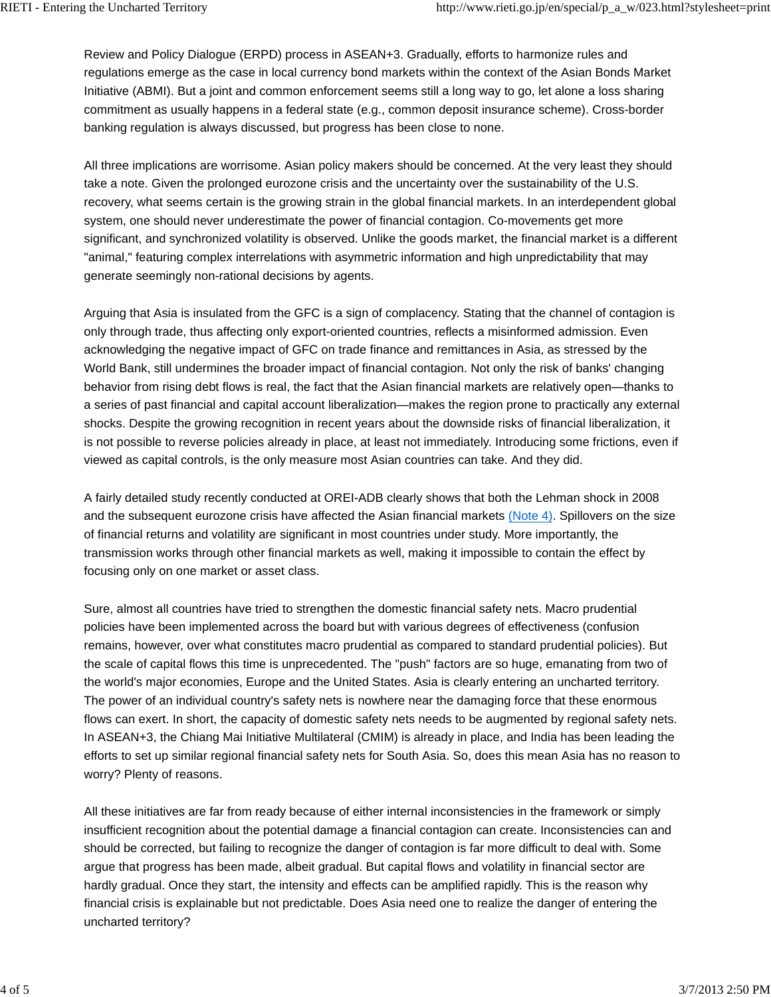Review and Policy Dialogue (ERPD) process in ASEAN+3. Gradually, efforts to harmonize rules and regulations emerge as the case in local currency bond markets within the context of the Asian Bonds Market Initiative (ABMI). But a joint and common enforcement seems still a long way to go, let alone a loss sharing commitment as usually happens in a federal state (e.g., common deposit insurance scheme). Cross-border banking regulation is always discussed, but progress has been close to none.

All three implications are worrisome. Asian policy makers should be concerned. At the very least they should take a note. Given the prolonged eurozone crisis and the uncertainty over the sustainability of the U.S. recovery, what seems certain is the growing strain in the global financial markets. In an interdependent global system, one should never underestimate the power of financial contagion. Co-movements get more significant, and synchronized volatility is observed. Unlike the goods market, the financial market is a different "animal," featuring complex interrelations with asymmetric information and high unpredictability that may generate seemingly non-rational decisions by agents.

Arguing that Asia is insulated from the GFC is a sign of complacency. Stating that the channel of contagion is only through trade, thus affecting only export-oriented countries, reflects a misinformed admission. Even acknowledging the negative impact of GFC on trade finance and remittances in Asia, as stressed by the World Bank, still undermines the broader impact of financial contagion. Not only the risk of banks' changing behavior from rising debt flows is real, the fact that the Asian financial markets are relatively open—thanks to a series of past financial and capital account liberalization—makes the region prone to practically any external shocks. Despite the growing recognition in recent years about the downside risks of financial liberalization, it is not possible to reverse policies already in place, at least not immediately. Introducing some frictions, even if viewed as capital controls, is the only measure most Asian countries can take. And they did.

A fairly detailed study recently conducted at OREI-ADB clearly shows that both the Lehman shock in 2008 and the subsequent eurozone crisis have affected the Asian financial markets (Note 4). Spillovers on the size of financial returns and volatility are significant in most countries under study. More importantly, the transmission works through other financial markets as well, making it impossible to contain the effect by focusing only on one market or asset class.

Sure, almost all countries have tried to strengthen the domestic financial safety nets. Macro prudential policies have been implemented across the board but with various degrees of effectiveness (confusion remains, however, over what constitutes macro prudential as compared to standard prudential policies). But the scale of capital flows this time is unprecedented. The "push" factors are so huge, emanating from two of the world's major economies, Europe and the United States. Asia is clearly entering an uncharted territory. The power of an individual country's safety nets is nowhere near the damaging force that these enormous flows can exert. In short, the capacity of domestic safety nets needs to be augmented by regional safety nets. In ASEAN+3, the Chiang Mai Initiative Multilateral (CMIM) is already in place, and India has been leading the efforts to set up similar regional financial safety nets for South Asia. So, does this mean Asia has no reason to worry? Plenty of reasons.

All these initiatives are far from ready because of either internal inconsistencies in the framework or simply insufficient recognition about the potential damage a financial contagion can create. Inconsistencies can and should be corrected, but failing to recognize the danger of contagion is far more difficult to deal with. Some argue that progress has been made, albeit gradual. But capital flows and volatility in financial sector are hardly gradual. Once they start, the intensity and effects can be amplified rapidly. This is the reason why financial crisis is explainable but not predictable. Does Asia need one to realize the danger of entering the uncharted territory?